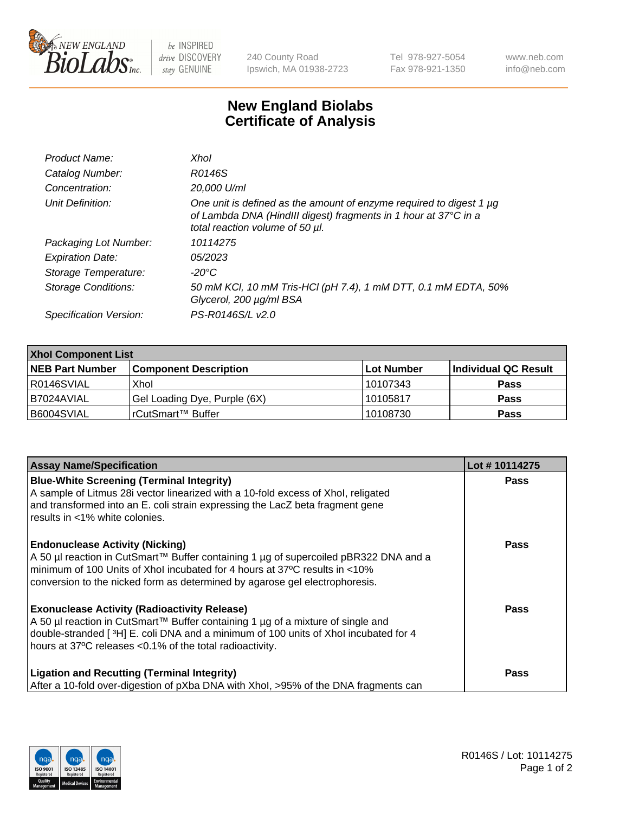

 $be$  INSPIRED drive DISCOVERY stay GENUINE

240 County Road Ipswich, MA 01938-2723 Tel 978-927-5054 Fax 978-921-1350 www.neb.com info@neb.com

## **New England Biolabs Certificate of Analysis**

| Product Name:              | Xhol                                                                                                                                                                      |
|----------------------------|---------------------------------------------------------------------------------------------------------------------------------------------------------------------------|
| Catalog Number:            | R0146S                                                                                                                                                                    |
| Concentration:             | 20,000 U/ml                                                                                                                                                               |
| Unit Definition:           | One unit is defined as the amount of enzyme required to digest 1 µg<br>of Lambda DNA (HindIII digest) fragments in 1 hour at 37°C in a<br>total reaction volume of 50 µl. |
| Packaging Lot Number:      | 10114275                                                                                                                                                                  |
| <b>Expiration Date:</b>    | 05/2023                                                                                                                                                                   |
| Storage Temperature:       | -20°C                                                                                                                                                                     |
| <b>Storage Conditions:</b> | 50 mM KCl, 10 mM Tris-HCl (pH 7.4), 1 mM DTT, 0.1 mM EDTA, 50%<br>Glycerol, 200 µg/ml BSA                                                                                 |
| Specification Version:     | PS-R0146S/L v2.0                                                                                                                                                          |

| <b>Xhol Component List</b> |                              |             |                      |  |  |
|----------------------------|------------------------------|-------------|----------------------|--|--|
| <b>NEB Part Number</b>     | <b>Component Description</b> | ∣Lot Number | Individual QC Result |  |  |
| R0146SVIAL                 | Xhol                         | 10107343    | <b>Pass</b>          |  |  |
| IB7024AVIAL                | Gel Loading Dye, Purple (6X) | 10105817    | <b>Pass</b>          |  |  |
| B6004SVIAL                 | rCutSmart™ Buffer            | 10108730    | <b>Pass</b>          |  |  |

| <b>Assay Name/Specification</b>                                                                                                                                                                                                                                                             | Lot #10114275 |
|---------------------------------------------------------------------------------------------------------------------------------------------------------------------------------------------------------------------------------------------------------------------------------------------|---------------|
| <b>Blue-White Screening (Terminal Integrity)</b><br>A sample of Litmus 28i vector linearized with a 10-fold excess of Xhol, religated<br>and transformed into an E. coli strain expressing the LacZ beta fragment gene<br>results in <1% white colonies.                                    | <b>Pass</b>   |
| <b>Endonuclease Activity (Nicking)</b><br>A 50 µl reaction in CutSmart™ Buffer containing 1 µg of supercoiled pBR322 DNA and a<br>minimum of 100 Units of Xhol incubated for 4 hours at 37°C results in <10%<br>conversion to the nicked form as determined by agarose gel electrophoresis. | <b>Pass</b>   |
| <b>Exonuclease Activity (Radioactivity Release)</b><br>A 50 µl reaction in CutSmart™ Buffer containing 1 µg of a mixture of single and<br>double-stranded [3H] E. coli DNA and a minimum of 100 units of Xhol incubated for 4<br>hours at 37°C releases <0.1% of the total radioactivity.   | <b>Pass</b>   |
| <b>Ligation and Recutting (Terminal Integrity)</b><br>After a 10-fold over-digestion of pXba DNA with Xhol, >95% of the DNA fragments can                                                                                                                                                   | Pass          |